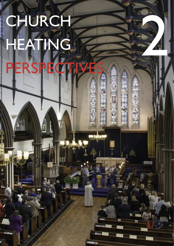# CHURCH NG **PERSPECTIVES**

22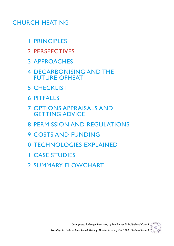# CHURCH HEATING

- PRINCIPLES
- PERSPECTIVES
- APPROACHES
- DECARBONISING AND THE FUTURE OFHEAT
- CHECKLIST
- PITFALLS
- OPTIONS APPRAISALS AND GETTING ADVICE
- PERMISSION AND REGULATIONS
- COSTS AND FUNDING
- TECHNOLOGIES EXPLAINED
- CASE STUDIES
- SUMMARY FLOWCHART

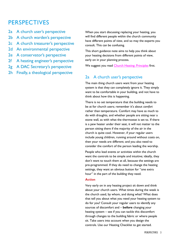# **PERSPECTIVES**

- 2a A church user's perspective
- 2b A church warden's perspective
- 2c A church treasurer's perspective
- 2d An environmental perspective
- 2e A conservator's perspective
- 2f A heating engineer's perspective
- 2g A DAC Secretary's perspective
- 2h Finally, a theological perspective

When you start discussing replacing your heating, you will find different people within the church community have different points of view, and so may the experts you consult. This can be confusing.

This short guidance note aims to help you think about your heating decisions from different points of view, early on in your planning process.

We suggest you read [Church Heating: Principles](https://www.churchofengland.org/sites/default/files/2020-04/CBC%20Heating%20guidance%20principles%20FINAL%20issued.pdf) first.

## 2a A church user's perspective

The main thing church users want from your heating system is that they can completely ignore it. They simply want to be comfortable in your building, and not have to think about how this is happening.

There is no set temperature that the building needs to be at for church users; remember it's about *comfort* rather than temperature. Comfort may have as much to do with draughts, and whether people are sitting near a stone wall, as with what the thermostat is set to. If there is a pew heater under their seat, it will not matter to the person sitting there if the majority of the air in the church is quite cool. However, if your regular users include young children, running around without coats on, then your needs are different; and you also need to consider the comfort of the person leading the worship.

People who lead events or activities within the church want the controls to be simple and intuitive; ideally, they don't want to touch them at all, because the settings are pre-programmed. If they do need to change the heating settings, they want an obvious button for "one extra hour" in the part of the building they need.

#### **Action**

Very early on in any heating project sit down and think about your church users. What times during the week is the church used, by whom, and doing what? What does that tell you about what you need your heating system to do for you? Consult your regular users to identify any sources of discomfort and – **before** changing your heating system – see if you can tackle this discomfort through changes to the building fabric or where people sit. Take users into account when you design the controls. Use our Heating Checklist to get started.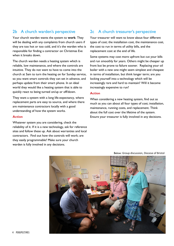### 2b A church warden's perspective

Your church warden wants the system to **work**. They will be dealing with any complaints from church users if they are too hot or too cold, and it's the warden who is responsible for finding a contractor on Christmas Eve when it breaks down.

The church warden needs a heating system which is reliable, low maintenance, and where the controls are intuitive. They do not want to have to come into the church at 5am to turn the heating on for Sunday service, so you want smart controls they can set in advance, and perhaps update from their smart phone. In an ideal world they would like a heating system that is able to quickly react to being turned on/up or off/down.

They want a system with a long life-expectancy, where replacement parts are easy to source, and where there are maintenance contractors locally with a good understanding of how the system works.

#### **Action**

Whatever system you are considering, check the reliability of it. If it is a new technology, ask for reference sites and follow these up. Ask about warranties and local contractors. Find out how the controls will work; are they easily programmable? Make sure your church warden is fully involved in any decisions.

# 2c A church treasurer's perspective

Your treasurer will want to know about four different types of cost; the installation cost, the maintenance cost, the cost to run in terms of utility bills, and the replacement cost at the end of life.

Some systems may cost more upfront but cut your bills and run smoothly for years. Others might be cheaper up front but be prone to failure sooner. Replacing your oil boiler with a new one might seem simplest and cheapest in terms of installation, but think longer term; are you locking yourself into a technology which will be increasingly rare and hard to maintain? Will it become increasingly expensive to run?

#### **Action**

When considering a new heating system, find out as much as you can about all four types of cost; installation, maintenance, running costs, and replacement. Think about the full cost over the lifetime of the system. Ensure your treasurer is fully involved in any decisions.



Below: Group discussion, Diocese of Bristol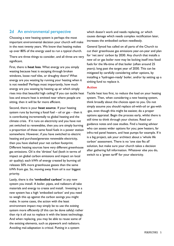### 2d An environmental perspective

Choosing a new heating system is perhaps the most important environmental decision your church will make in the next twenty years. We know that heating makes up over 80% of the energy used to run a typical church.

There are three things to consider, and all three are very significant.

First, there is **heat loss**. What energy are you simply wasting because heat is escaping through broken windows, loose roof tiles, or draughty doors? What energy are you wasting by running your heating when it is not needed? Perhaps most importantly, how much energy are you wasting by heating up air which simply rises into that beautiful high ceiling? If you can tackle heat loss and ensure heat is emitted near where people are sitting, then it will be far more efficient.

Second, there is your **heat source**. If your heating system runs by burning a fossil fuel – oil or gas – then it is contributing incrementally to global heating and the climate crisis. If it runs on electricity and you have not yet switched to renewables, then you are simply burning a proportion of these same fossil fuels in a power station somewhere. However, if you have switched to electric heating and purchase/generate renewable electricity, then you have slashed your net carbon footprint. Different heating sources have very different greenhouse gas emissions. Oil is the 'dirtiest' fuel (both in terms of impact on global carbon emissions and impact on local air quality); each kWh of energy created by burning oil releases 50% more greenhouse gasses than the same kWh from gas. So, moving away from oil is our biggest priority.

Lastly, there is the **'embodied carbon'** in any new system you install. A boiler, pipes, and radiators all take materials and energy to create and install. Investing in a new system has a high 'embodied carbon' and you need to weigh this up against the carbon savings you might make. In some cases, the action with the least environment impact may simply be to use the *existing* system more efficiently (if this can be done safely) rather than rip it all out to replace it with the latest technology. And when replacing, you may be able to reuse some of the existing elements, such as pipework and radiators. Avoiding mal-adaptation is critical. Putting in a system

which doesn't work and needs replacing, or which causes damage which needs complex rectification later, increases the embodied carbon needlessly.

General Synod has called on all parts of the Church to cut their greenhouse gas emissions year-on-year and plan for 'net zero' carbon by 2030. Any church that installs a new oil or gas boiler now may be locking itself into fossil fuels for the life-time of that boiler (often around 25 years); long past the target year of 2030. This can be mitigated by carefully considering other options, by installing a 'hydrogen-ready' boiler, and/or by setting up a sinking fund to replace it.

#### **Action**

Tackle heat loss first, to reduce the load on your heating system. Then, when considering a new heating system, think broadly about the choices open to you. Do not simply assume you should replace oil-with-oil or gas-with -gas, even though this might be easiest; do a proper options appraisal. Begin the process early, whilst there is still time to think through your choices. Read our guidance notes and case studies. Find a heating advisor who can assess wider options for you; pew heaters, far infra-red panel heaters, and heat pumps for example. If it is a big project, ask your architect about a 'whole life carbon' assessment. There is no 'one size fits all' solution, but make sure your church takes a decision after gathering full information. Whatever else you do, switch to a 'green tariff' for your electricity.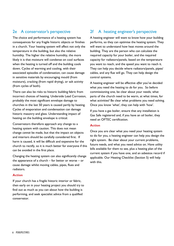# 2e A conservator's perspective

The choice and performance of a heating system has consequences for any fragile historic objects or finishes in a church. Your heating system will affect not only the temperature in the building, but also the relative humidity. The higher the relative humidity, the more likely it is that moisture will condense on cool surfaces when the heating is turned off and the building cools down. Cycles of warming and cooling, with their associated episodes of condensation, can cause damage in sensitive materials by encouraging mould (from moisture), cracking (from rapid drying), or salt activity (from cycles of both).

There can also be risks to historic building fabric from incorrect choices of heating. Underside Lead Corrosion, probably the most significant envelope damage to churches in the last 50 years is caused partly by heating. Cycles of evaporation and condensation can damage historic masonry and glass. Understanding impact of heating on the building envelope is critical.

Conservators therefore approach any change to a heating system with caution. This does not mean change *cannot* be made, but that the impact on objects and interiors should be carefully considered first. If harm is caused, it will be difficult and expensive for the church to rectify, so it is much better for everyone if this can be avoided in the first place.

Changing the heating system can also significantly change the appearance of a church – for better or worse – or cause damage whilst moving cables, pipes, flues and radiators.

#### **Action**

If your church has a fragile historic interior or fabric, then early on in your heating project you should try to find out as much as you can about how the building is performing, and seek specialist advice from a qualified conservator.

# 2f A heating engineer's perspective

A heating engineer will want to know how your building performs, so they can optimise the heating system. They will want to understand how heat moves around the building. They are the person who can calculate the required capacity for your boiler, and the required capacity for radiators/panels, based on the temperature you want to reach, and the speed you want to reach it. They can help you decide where radiators/panels, pipes/ cables, and any flue will go. They can help design the control systems.

A heating engineer will be effective *after* you've decided what you need the heating to *do* for you. So before commissioning one, be clear about your needs; what parts of the church need to be warm, at what times, for what activities? Be clear what problems you need solving. Once you know 'what', they can help with 'how'.

If you have a gas boiler, ensure that any installation is Gas Safe registered and, if you have an oil boiler, they need an OFTEC certification.

#### **Action**

Once you are clear what you need your heating system to do for you, a heating engineer can help you design the right system. Be clear about your current problems, future needs, and what you need advice on. Have utility bills available for them to see, plus a heating plan of the current system if you have one, and an asbestos record if applicable. Our Heating Checklist (Section 5) will help with this.